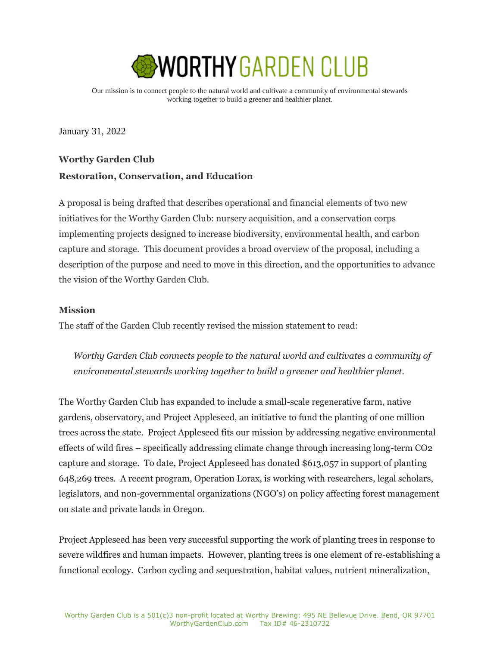

Our mission is to connect people to the natural world and cultivate a community of environmental stewards working together to build a greener and healthier planet.

January 31, 2022

# **Worthy Garden Club Restoration, Conservation, and Education**

A proposal is being drafted that describes operational and financial elements of two new initiatives for the Worthy Garden Club: nursery acquisition, and a conservation corps implementing projects designed to increase biodiversity, environmental health, and carbon capture and storage. This document provides a broad overview of the proposal, including a description of the purpose and need to move in this direction, and the opportunities to advance the vision of the Worthy Garden Club.

## **Mission**

The staff of the Garden Club recently revised the mission statement to read:

*Worthy Garden Club connects people to the natural world and cultivates a community of environmental stewards working together to build a greener and healthier planet.*

The Worthy Garden Club has expanded to include a small-scale regenerative farm, native gardens, observatory, and Project Appleseed, an initiative to fund the planting of one million trees across the state. Project Appleseed fits our mission by addressing negative environmental effects of wild fires – specifically addressing climate change through increasing long-term CO2 capture and storage. To date, Project Appleseed has donated \$613,057 in support of planting 648,269 trees. A recent program, Operation Lorax, is working with researchers, legal scholars, legislators, and non-governmental organizations (NGO's) on policy affecting forest management on state and private lands in Oregon.

Project Appleseed has been very successful supporting the work of planting trees in response to severe wildfires and human impacts. However, planting trees is one element of re-establishing a functional ecology. Carbon cycling and sequestration, habitat values, nutrient mineralization,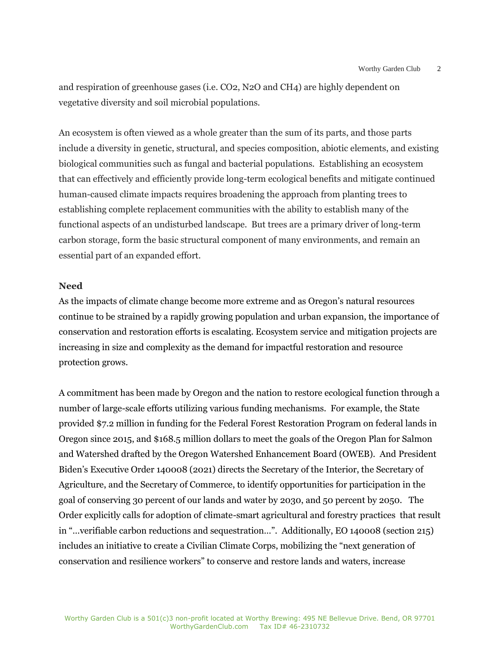and respiration of greenhouse gases (i.e. CO2, N2O and CH4) are highly dependent on vegetative diversity and soil microbial populations.

An ecosystem is often viewed as a whole greater than the sum of its parts, and those parts include a diversity in genetic, structural, and species composition, abiotic elements, and existing biological communities such as fungal and bacterial populations. Establishing an ecosystem that can effectively and efficiently provide long-term ecological benefits and mitigate continued human-caused climate impacts requires broadening the approach from planting trees to establishing complete replacement communities with the ability to establish many of the functional aspects of an undisturbed landscape. But trees are a primary driver of long-term carbon storage, form the basic structural component of many environments, and remain an essential part of an expanded effort.

#### **Need**

As the impacts of climate change become more extreme and as Oregon's natural resources continue to be strained by a rapidly growing population and urban expansion, the importance of conservation and restoration efforts is escalating. Ecosystem service and mitigation projects are increasing in size and complexity as the demand for impactful restoration and resource protection grows.

A commitment has been made by Oregon and the nation to restore ecological function through a number of large-scale efforts utilizing various funding mechanisms. For example, the State provided \$7.2 million in funding for the Federal Forest Restoration Program on federal lands in Oregon since 2015, and \$168.5 million dollars to meet the goals of the Oregon Plan for Salmon and Watershed drafted by the Oregon Watershed Enhancement Board (OWEB). And President Biden's Executive Order 140008 (2021) directs the Secretary of the Interior, the Secretary of Agriculture, and the Secretary of Commerce, to identify opportunities for participation in the goal of conserving 30 percent of our lands and water by 2030, and 50 percent by 2050. The Order explicitly calls for adoption of climate-smart agricultural and forestry practices that result in "…verifiable carbon reductions and sequestration…". Additionally, EO 140008 (section 215) includes an initiative to create a Civilian Climate Corps, mobilizing the "next generation of conservation and resilience workers" to conserve and restore lands and waters, increase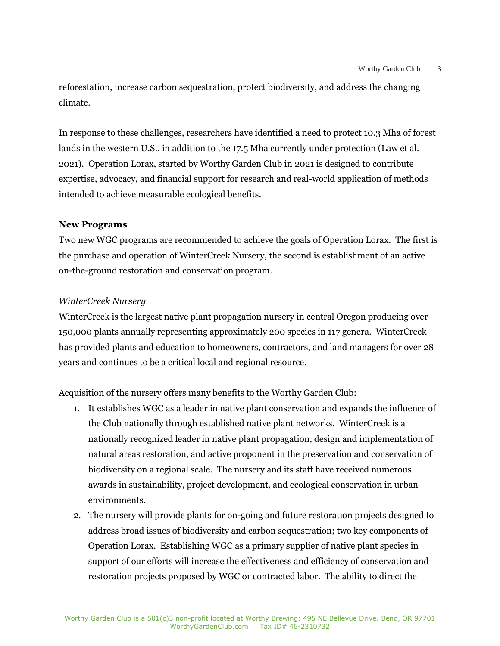reforestation, increase carbon sequestration, protect biodiversity, and address the changing climate.

In response to these challenges, researchers have identified a need to protect 10.3 Mha of forest lands in the western U.S., in addition to the 17.5 Mha currently under protection (Law et al. 2021). Operation Lorax, started by Worthy Garden Club in 2021 is designed to contribute expertise, advocacy, and financial support for research and real-world application of methods intended to achieve measurable ecological benefits.

# **New Programs**

Two new WGC programs are recommended to achieve the goals of Operation Lorax. The first is the purchase and operation of WinterCreek Nursery, the second is establishment of an active on-the-ground restoration and conservation program.

# *WinterCreek Nursery*

WinterCreek is the largest native plant propagation nursery in central Oregon producing over 150,000 plants annually representing approximately 200 species in 117 genera. WinterCreek has provided plants and education to homeowners, contractors, and land managers for over 28 years and continues to be a critical local and regional resource.

Acquisition of the nursery offers many benefits to the Worthy Garden Club:

- 1. It establishes WGC as a leader in native plant conservation and expands the influence of the Club nationally through established native plant networks. WinterCreek is a nationally recognized leader in native plant propagation, design and implementation of natural areas restoration, and active proponent in the preservation and conservation of biodiversity on a regional scale. The nursery and its staff have received numerous awards in sustainability, project development, and ecological conservation in urban environments.
- 2. The nursery will provide plants for on-going and future restoration projects designed to address broad issues of biodiversity and carbon sequestration; two key components of Operation Lorax. Establishing WGC as a primary supplier of native plant species in support of our efforts will increase the effectiveness and efficiency of conservation and restoration projects proposed by WGC or contracted labor. The ability to direct the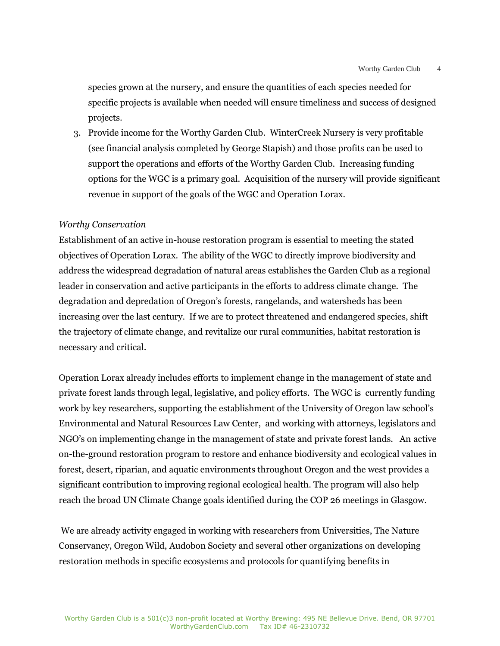species grown at the nursery, and ensure the quantities of each species needed for specific projects is available when needed will ensure timeliness and success of designed projects.

3. Provide income for the Worthy Garden Club. WinterCreek Nursery is very profitable (see financial analysis completed by George Stapish) and those profits can be used to support the operations and efforts of the Worthy Garden Club. Increasing funding options for the WGC is a primary goal. Acquisition of the nursery will provide significant revenue in support of the goals of the WGC and Operation Lorax.

## *Worthy Conservation*

Establishment of an active in-house restoration program is essential to meeting the stated objectives of Operation Lorax. The ability of the WGC to directly improve biodiversity and address the widespread degradation of natural areas establishes the Garden Club as a regional leader in conservation and active participants in the efforts to address climate change. The degradation and depredation of Oregon's forests, rangelands, and watersheds has been increasing over the last century. If we are to protect threatened and endangered species, shift the trajectory of climate change, and revitalize our rural communities, habitat restoration is necessary and critical.

Operation Lorax already includes efforts to implement change in the management of state and private forest lands through legal, legislative, and policy efforts. The WGC is currently funding work by key researchers, supporting the establishment of the University of Oregon law school's Environmental and Natural Resources Law Center, and working with attorneys, legislators and NGO's on implementing change in the management of state and private forest lands. An active on-the-ground restoration program to restore and enhance biodiversity and ecological values in forest, desert, riparian, and aquatic environments throughout Oregon and the west provides a significant contribution to improving regional ecological health. The program will also help reach the broad UN Climate Change goals identified during the COP 26 meetings in Glasgow.

We are already activity engaged in working with researchers from Universities, The Nature Conservancy, Oregon Wild, Audobon Society and several other organizations on developing restoration methods in specific ecosystems and protocols for quantifying benefits in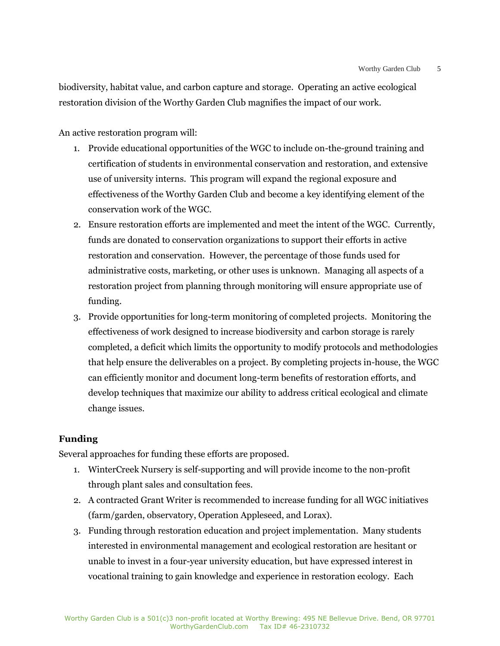biodiversity, habitat value, and carbon capture and storage. Operating an active ecological restoration division of the Worthy Garden Club magnifies the impact of our work.

An active restoration program will:

- 1. Provide educational opportunities of the WGC to include on-the-ground training and certification of students in environmental conservation and restoration, and extensive use of university interns. This program will expand the regional exposure and effectiveness of the Worthy Garden Club and become a key identifying element of the conservation work of the WGC.
- 2. Ensure restoration efforts are implemented and meet the intent of the WGC. Currently, funds are donated to conservation organizations to support their efforts in active restoration and conservation. However, the percentage of those funds used for administrative costs, marketing, or other uses is unknown. Managing all aspects of a restoration project from planning through monitoring will ensure appropriate use of funding.
- 3. Provide opportunities for long-term monitoring of completed projects. Monitoring the effectiveness of work designed to increase biodiversity and carbon storage is rarely completed, a deficit which limits the opportunity to modify protocols and methodologies that help ensure the deliverables on a project. By completing projects in-house, the WGC can efficiently monitor and document long-term benefits of restoration efforts, and develop techniques that maximize our ability to address critical ecological and climate change issues.

## **Funding**

Several approaches for funding these efforts are proposed.

- 1. WinterCreek Nursery is self-supporting and will provide income to the non-profit through plant sales and consultation fees.
- 2. A contracted Grant Writer is recommended to increase funding for all WGC initiatives (farm/garden, observatory, Operation Appleseed, and Lorax).
- 3. Funding through restoration education and project implementation. Many students interested in environmental management and ecological restoration are hesitant or unable to invest in a four-year university education, but have expressed interest in vocational training to gain knowledge and experience in restoration ecology. Each